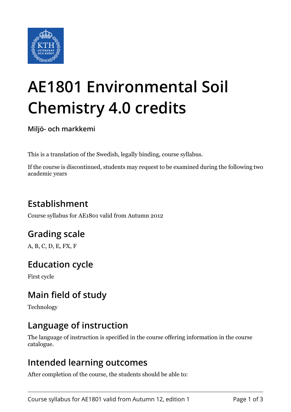

# **AE1801 Environmental Soil Chemistry 4.0 credits**

**Miljö- och markkemi**

This is a translation of the Swedish, legally binding, course syllabus.

If the course is discontinued, students may request to be examined during the following two academic years

# **Establishment**

Course syllabus for AE1801 valid from Autumn 2012

## **Grading scale**

A, B, C, D, E, FX, F

## **Education cycle**

First cycle

## **Main field of study**

Technology

## **Language of instruction**

The language of instruction is specified in the course offering information in the course catalogue.

#### **Intended learning outcomes**

After completion of the course, the students should be able to: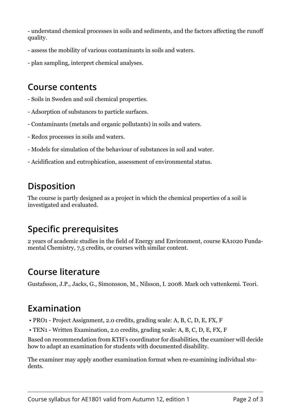- understand chemical processes in soils and sediments, and the factors affecting the runoff quality.

- assess the mobility of various contaminants in soils and waters.
- plan sampling, interpret chemical analyses.

#### **Course contents**

- Soils in Sweden and soil chemical properties.
- Adsorption of substances to particle surfaces.
- Contaminants (metals and organic pollutants) in soils and waters.
- Redox processes in soils and waters.
- Models for simulation of the behaviour of substances in soil and water.
- Acidification and eutrophication, assessment of environmental status.

# **Disposition**

The course is partly designed as a project in which the chemical properties of a soil is investigated and evaluated.

# **Specific prerequisites**

2 years of academic studies in the field of Energy and Environment, course KA1020 Fundamental Chemistry, 7,5 credits, or courses with similar content.

## **Course literature**

Gustafsson, J.P., Jacks, G., Simonsson, M., Nilsson, I. 2008. Mark och vattenkemi. Teori.

## **Examination**

- PRO1 Project Assignment, 2.0 credits, grading scale: A, B, C, D, E, FX, F
- TEN1 Written Examination, 2.0 credits, grading scale: A, B, C, D, E, FX, F

Based on recommendation from KTH's coordinator for disabilities, the examiner will decide how to adapt an examination for students with documented disability.

The examiner may apply another examination format when re-examining individual students.